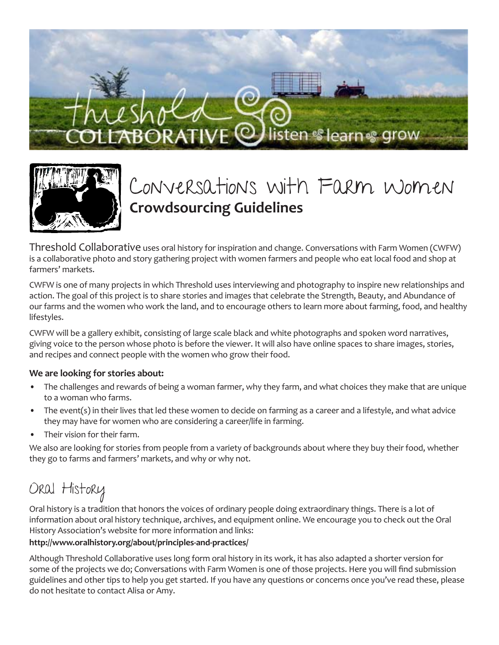



## Conversations with Farm Women **Crowdsourcing Guidelines**

Threshold Collaborative uses oral history for inspiration and change. Conversations with Farm Women (CWFW) is a collaborative photo and story gathering project with women farmers and people who eat local food and shop at farmers' markets.

CWFW is one of many projects in which Threshold uses interviewing and photography to inspire new relationships and action. The goal of this project is to share stories and images that celebrate the Strength, Beauty, and Abundance of our farms and the women who work the land, and to encourage others to learn more about farming, food, and healthy lifestyles.

CWFW will be a gallery exhibit, consisting of large scale black and white photographs and spoken word narratives, giving voice to the person whose photo is before the viewer. It will also have online spaces to share images, stories, and recipes and connect people with the women who grow their food.

#### **We are looking for stories about:**

- The challenges and rewards of being a woman farmer, why they farm, and what choices they make that are unique to a woman who farms.
- The event(s) in their lives that led these women to decide on farming as a career and a lifestyle, and what advice they may have for women who are considering a career/life in farming.
- Their vision for their farm.

We also are looking for stories from people from a variety of backgrounds about where they buy their food, whether they go to farms and farmers' markets, and why or why not.

## Oral History

Oral history is a tradition that honors the voices of ordinary people doing extraordinary things. There is a lot of information about oral history technique, archives, and equipment online. We encourage you to check out the Oral History Association's website for more information and links:

#### **http://www.oralhistory.org/about/principles-and-practices/**

Although Threshold Collaborative uses long form oral history in its work, it has also adapted a shorter version for some of the projects we do; Conversations with Farm Women is one of those projects. Here you will find submission guidelines and other tips to help you get started. If you have any questions or concerns once you've read these, please do not hesitate to contact Alisa or Amy.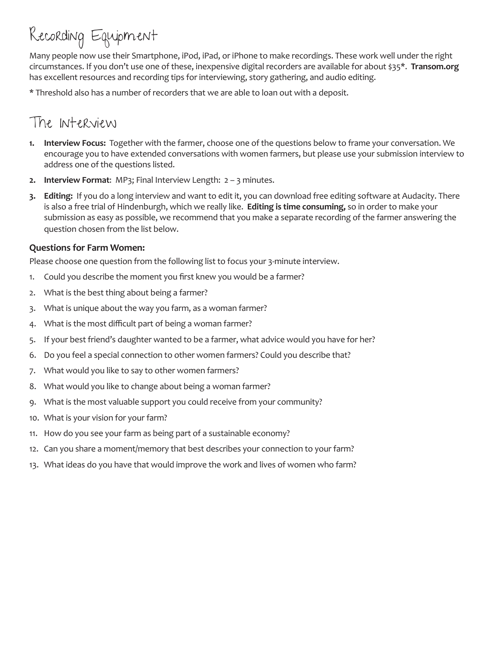# Recording Equipment

Many people now use their Smartphone, iPod, iPad, or iPhone to make recordings. These work well under the right circumstances. If you don't use one of these, inexpensive digital recorders are available for about \$35\*. **Transom.org** has excellent resources and recording tips for interviewing, story gathering, and audio editing.

\* Threshold also has a number of recorders that we are able to loan out with a deposit.

### The Interview

- **1. Interview Focus:** Together with the farmer, choose one of the questions below to frame your conversation. We encourage you to have extended conversations with women farmers, but please use your submission interview to address one of the questions listed.
- **2. Interview Format**: MP3; Final Interview Length: 2 3 minutes.
- **3. Editing:** If you do a long interview and want to edit it, you can download free editing software at Audacity. There is also a free trial of Hindenburgh, which we really like. **Editing is time consuming,** so in order to make your submission as easy as possible, we recommend that you make a separate recording of the farmer answering the question chosen from the list below.

#### **Questions for Farm Women:**

Please choose one question from the following list to focus your 3-minute interview.

- 1. Could you describe the moment you first knew you would be a farmer?
- 2. What is the best thing about being a farmer?
- 3. What is unique about the way you farm, as a woman farmer?
- 4. What is the most difficult part of being a woman farmer?
- 5. If your best friend's daughter wanted to be a farmer, what advice would you have for her?
- 6. Do you feel a special connection to other women farmers? Could you describe that?
- 7. What would you like to say to other women farmers?
- 8. What would you like to change about being a woman farmer?
- 9. What is the most valuable support you could receive from your community?
- 10. What is your vision for your farm?
- 11. How do you see your farm as being part of a sustainable economy?
- 12. Can you share a moment/memory that best describes your connection to your farm?
- 13. What ideas do you have that would improve the work and lives of women who farm?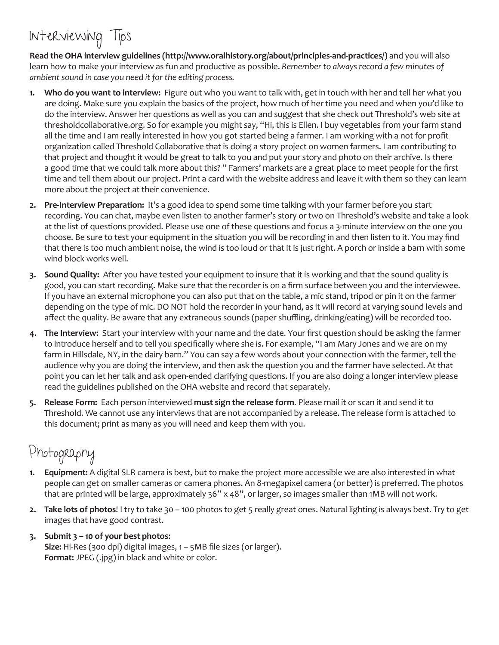## Interviewing Tips

**Read the OHA interview guidelines (http://www.oralhistory.org/about/principles-and-practices/)** and you will also learn how to make your interview as fun and productive as possible. *Remember to always record a few minutes of ambient sound in case you need it for the editing process.*

- **1. Who do you want to interview:** Figure out who you want to talk with, get in touch with her and tell her what you are doing. Make sure you explain the basics of the project, how much of her time you need and when you'd like to do the interview. Answer her questions as well as you can and suggest that she check out Threshold's web site at thresholdcollaborative.org. So for example you might say, "Hi, this is Ellen. I buy vegetables from your farm stand all the time and I am really interested in how you got started being a farmer. I am working with a not for profit organization called Threshold Collaborative that is doing a story project on women farmers. I am contributing to that project and thought it would be great to talk to you and put your story and photo on their archive. Is there a good time that we could talk more about this? " Farmers' markets are a great place to meet people for the first time and tell them about our project. Print a card with the website address and leave it with them so they can learn more about the project at their convenience.
- **2. Pre-Interview Preparation:** It's a good idea to spend some time talking with your farmer before you start recording. You can chat, maybe even listen to another farmer's story or two on Threshold's website and take a look at the list of questions provided. Please use one of these questions and focus a 3-minute interview on the one you choose. Be sure to test your equipment in the situation you will be recording in and then listen to it. You may find that there is too much ambient noise, the wind is too loud or that it is just right. A porch or inside a barn with some wind block works well.
- **3. Sound Quality:** After you have tested your equipment to insure that it is working and that the sound quality is good, you can start recording. Make sure that the recorder is on a firm surface between you and the interviewee. If you have an external microphone you can also put that on the table, a mic stand, tripod or pin it on the farmer depending on the type of mic. DO NOT hold the recorder in your hand, as it will record at varying sound levels and affect the quality. Be aware that any extraneous sounds (paper shuffling, drinking/eating) will be recorded too.
- **4. The Interview:** Start your interview with your name and the date. Your first question should be asking the farmer to introduce herself and to tell you specifically where she is. For example, "I am Mary Jones and we are on my farm in Hillsdale, NY, in the dairy barn." You can say a few words about your connection with the farmer, tell the audience why you are doing the interview, and then ask the question you and the farmer have selected. At that point you can let her talk and ask open-ended clarifying questions. If you are also doing a longer interview please read the guidelines published on the OHA website and record that separately.
- **5. Release Form:** Each person interviewed **must sign the release form**. Please mail it or scan it and send it to Threshold. We cannot use any interviews that are not accompanied by a release. The release form is attached to this document; print as many as you will need and keep them with you.

### Photography

- **1. Equipment:** A digital SLR camera is best, but to make the project more accessible we are also interested in what people can get on smaller cameras or camera phones. An 8-megapixel camera (or better) is preferred. The photos that are printed will be large, approximately 36" x 48", or larger, so images smaller than 1MB will not work.
- **2. Take lots of photos**! I try to take 30 100 photos to get 5 really great ones. Natural lighting is always best. Try to get images that have good contrast.
- **3. Submit 3 10 of your best photos**: **Size:** Hi-Res (300 dpi) digital images, 1 – 5MB file sizes (or larger). **Format:** JPEG (.jpg) in black and white or color.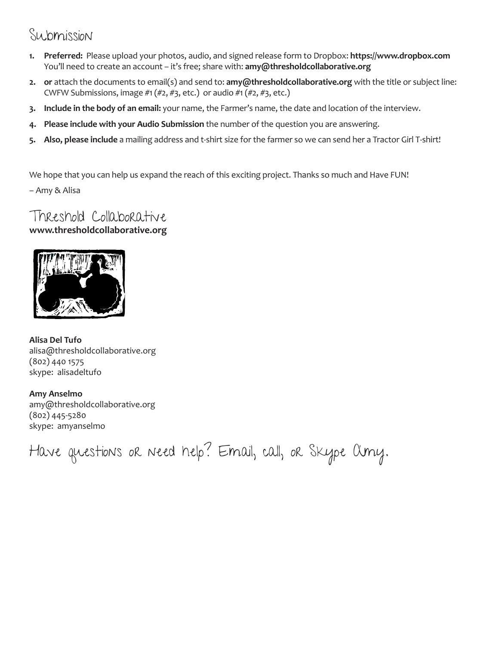### Submission

- **1. Preferred:** Please upload your photos, audio, and signed release form to Dropbox: **https://www.dropbox.com** You'll need to create an account – it's free; share with: **amy@thresholdcollaborative.org**
- **2. or** attach the documents to email(s) and send to: **amy@thresholdcollaborative.org** with the title or subject line: CWFW Submissions, image  $\#1(\#2, \#3, \text{etc.})$  or audio  $\#1(\#2, \#3, \text{etc.})$
- **3. Include in the body of an email:** your name, the Farmer's name, the date and location of the interview.
- **4. Please include with your Audio Submission** the number of the question you are answering.
- **5. Also, please include** a mailing address and t-shirt size for the farmer so we can send her a Tractor Girl T-shirt!

We hope that you can help us expand the reach of this exciting project. Thanks so much and Have FUN!

– Amy & Alisa

#### Threshold Collaborative **www.thresholdcollaborative.org**



**Alisa Del Tufo** alisa@thresholdcollaborative.org (802) 440 1575 skype: alisadeltufo

**Amy Anselmo** amy@thresholdcollaborative.org (802) 445-5280 skype: amyanselmo

Have questions or need help? Email, call, or Skype Amy.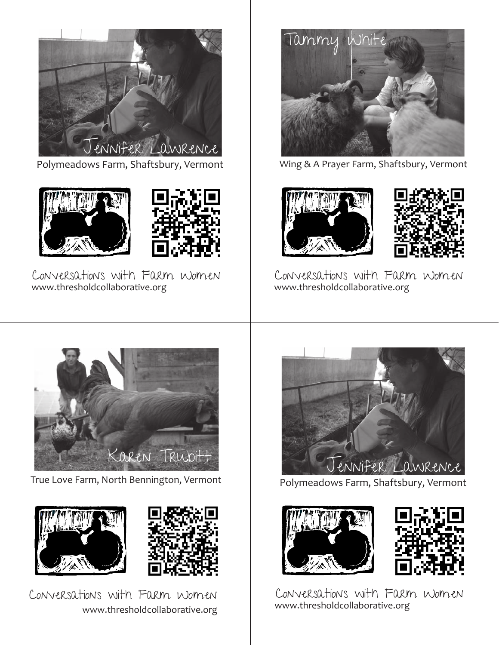

Polymeadows Farm, Shaftsbury, Vermont





Conversations with Farm Women www.thresholdcollaborative.org



Wing & A Prayer Farm, Shaftsbury, Vermont





Conversations with Farm Women www.thresholdcollaborative.org



True Love Farm, North Bennington, Vermont



www.thresholdcollaborative.org Conversations with Farm Women



Polymeadows Farm, Shaftsbury, Vermont





Conversations with Farm Women www.thresholdcollaborative.org